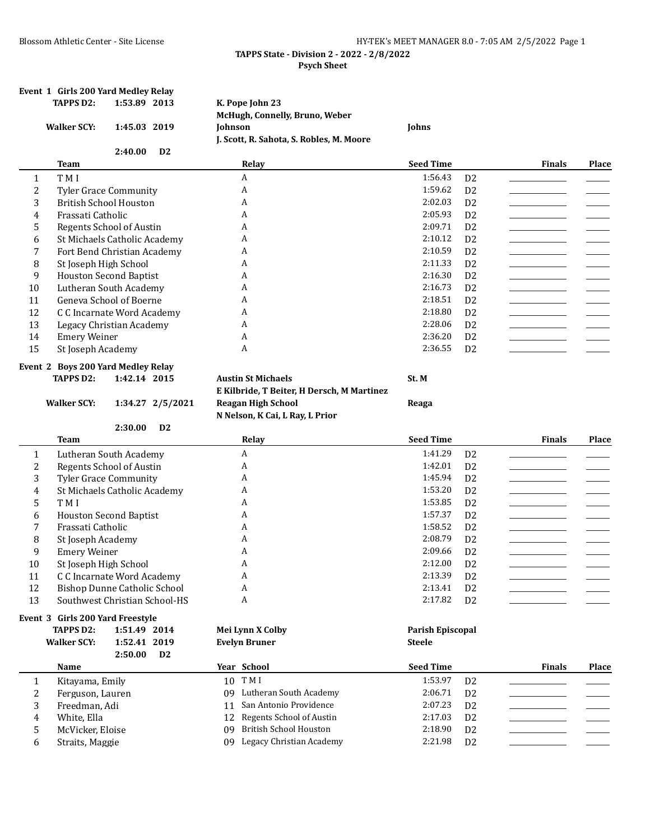| $\mathbf{1}$<br>2<br>3 | <b>Walker SCY:</b>                  | 1:45.03 2019                        | K. Pope John 23<br>McHugh, Connelly, Bruno, Weber<br>Johnson          | Johns              |                                  |                                                                     |              |
|------------------------|-------------------------------------|-------------------------------------|-----------------------------------------------------------------------|--------------------|----------------------------------|---------------------------------------------------------------------|--------------|
|                        |                                     |                                     | J. Scott, R. Sahota, S. Robles, M. Moore                              |                    |                                  |                                                                     |              |
|                        |                                     | 2:40.00<br>D <sub>2</sub>           |                                                                       |                    |                                  |                                                                     |              |
|                        | <b>Team</b>                         |                                     | Relay                                                                 | <b>Seed Time</b>   |                                  | <b>Finals</b>                                                       | Place        |
|                        | T M I                               |                                     | A                                                                     | 1:56.43            | D <sub>2</sub>                   |                                                                     |              |
|                        |                                     | <b>Tyler Grace Community</b>        | A                                                                     | 1:59.62            | D <sub>2</sub>                   |                                                                     |              |
|                        | <b>British School Houston</b>       |                                     | А                                                                     | 2:02.03            | D <sub>2</sub>                   |                                                                     |              |
| 4                      | Frassati Catholic                   |                                     | A                                                                     | 2:05.93            | D <sub>2</sub>                   |                                                                     |              |
| 5                      |                                     | Regents School of Austin            | A                                                                     | 2:09.71            | D <sub>2</sub>                   |                                                                     |              |
| 6                      |                                     | St Michaels Catholic Academy        | A                                                                     | 2:10.12            | D <sub>2</sub>                   |                                                                     |              |
| 7                      |                                     | Fort Bend Christian Academy         | A                                                                     | 2:10.59            | D <sub>2</sub>                   |                                                                     |              |
| 8                      | St Joseph High School               |                                     | A                                                                     | 2:11.33            | D <sub>2</sub>                   |                                                                     |              |
| 9                      |                                     | <b>Houston Second Baptist</b>       | A                                                                     | 2:16.30            | D <sub>2</sub>                   |                                                                     |              |
| 10                     |                                     | Lutheran South Academy              | A                                                                     | 2:16.73            | D <sub>2</sub>                   |                                                                     |              |
| 11                     |                                     | Geneva School of Boerne             | A                                                                     | 2:18.51            | D <sub>2</sub>                   |                                                                     |              |
| 12                     |                                     | C C Incarnate Word Academy          | A                                                                     | 2:18.80            | D <sub>2</sub>                   |                                                                     |              |
| 13                     |                                     | Legacy Christian Academy            | A                                                                     | 2:28.06            | D <sub>2</sub>                   |                                                                     |              |
| 14                     | <b>Emery Weiner</b>                 |                                     | A                                                                     | 2:36.20            | D <sub>2</sub>                   |                                                                     |              |
| 15                     | St Joseph Academy                   |                                     | А                                                                     | 2:36.55            | D <sub>2</sub>                   |                                                                     |              |
|                        |                                     | Event 2 Boys 200 Yard Medley Relay  |                                                                       |                    |                                  |                                                                     |              |
|                        | <b>TAPPS D2:</b>                    | 1:42.14 2015                        | <b>Austin St Michaels</b>                                             | St. M              |                                  |                                                                     |              |
|                        |                                     |                                     | E Kilbride, T Beiter, H Dersch, M Martinez                            |                    |                                  |                                                                     |              |
|                        | <b>Walker SCY:</b>                  | 1:34.27 2/5/2021                    | <b>Reagan High School</b>                                             | Reaga              |                                  |                                                                     |              |
|                        |                                     |                                     | N Nelson, K Cai, L Ray, L Prior                                       |                    |                                  |                                                                     |              |
|                        |                                     | 2:30.00<br>D <sub>2</sub>           |                                                                       |                    |                                  |                                                                     |              |
|                        | <b>Team</b>                         |                                     | Relay                                                                 | <b>Seed Time</b>   |                                  | <b>Finals</b>                                                       | <b>Place</b> |
| 1                      |                                     | Lutheran South Academy              | A                                                                     | 1:41.29            | D <sub>2</sub>                   |                                                                     |              |
| 2                      |                                     | Regents School of Austin            | A                                                                     | 1:42.01            | D <sub>2</sub>                   |                                                                     |              |
| 3                      |                                     | <b>Tyler Grace Community</b>        | A                                                                     | 1:45.94            | D <sub>2</sub>                   |                                                                     |              |
| 4                      |                                     | St Michaels Catholic Academy        | A                                                                     | 1:53.20            | D <sub>2</sub>                   |                                                                     |              |
| 5                      | T M I                               |                                     | A                                                                     | 1:53.85            | D <sub>2</sub>                   |                                                                     |              |
| 6                      |                                     | <b>Houston Second Baptist</b>       | A                                                                     | 1:57.37            | D <sub>2</sub>                   |                                                                     |              |
| 7                      | Frassati Catholic                   |                                     | A                                                                     | 1:58.52            | D <sub>2</sub>                   |                                                                     |              |
| 8                      | St Joseph Academy                   |                                     | A                                                                     | 2:08.79            | D <sub>2</sub>                   |                                                                     |              |
| 9                      | <b>Emery Weiner</b>                 |                                     | A                                                                     | 2:09.66            | D <sub>2</sub>                   |                                                                     |              |
| 10                     | St Joseph High School               |                                     | A                                                                     | 2:12.00            | D <sub>2</sub>                   |                                                                     |              |
|                        |                                     | C C Incarnate Word Academy          | A                                                                     | 2:13.39            | D <sub>2</sub>                   |                                                                     |              |
| 11                     |                                     | <b>Bishop Dunne Catholic School</b> | A                                                                     | 2:13.41            | D <sub>2</sub>                   |                                                                     |              |
| 12                     |                                     | Southwest Christian School-HS       | А                                                                     | 2:17.82            | D <sub>2</sub>                   |                                                                     |              |
| 13                     |                                     |                                     |                                                                       |                    |                                  |                                                                     |              |
|                        |                                     |                                     |                                                                       |                    |                                  |                                                                     |              |
|                        | Event 3 Girls 200 Yard Freestyle    |                                     |                                                                       |                    |                                  |                                                                     |              |
|                        | <b>TAPPS D2:</b>                    | 1:51.49 2014                        | Mei Lynn X Colby                                                      | Parish Episcopal   |                                  |                                                                     |              |
|                        | <b>Walker SCY:</b>                  | 1:52.41 2019                        | <b>Evelyn Bruner</b>                                                  | <b>Steele</b>      |                                  |                                                                     |              |
|                        | Name                                | 2:50.00<br>D <sub>2</sub>           | Year School                                                           | <b>Seed Time</b>   |                                  | <b>Finals</b>                                                       | Place        |
|                        |                                     |                                     |                                                                       |                    |                                  |                                                                     |              |
| $\mathbf{1}$           | Kitayama, Emily                     |                                     | 10 TMI<br>Lutheran South Academy<br>09                                | 1:53.97<br>2:06.71 | D <sub>2</sub>                   |                                                                     |              |
| 2                      | Ferguson, Lauren                    |                                     | San Antonio Providence<br>11                                          |                    | D <sub>2</sub>                   |                                                                     |              |
| 3                      | Freedman, Adi                       |                                     |                                                                       | 2:07.23            | D <sub>2</sub>                   | $\overline{\phantom{a}}$ . The contract of $\overline{\phantom{a}}$ |              |
| 4                      | White, Ella                         |                                     | Regents School of Austin<br>12                                        | 2:17.03            | D <sub>2</sub>                   |                                                                     |              |
| 5<br>6                 | McVicker, Eloise<br>Straits, Maggie |                                     | <b>British School Houston</b><br>09<br>Legacy Christian Academy<br>09 | 2:18.90<br>2:21.98 | D <sub>2</sub><br>D <sub>2</sub> |                                                                     |              |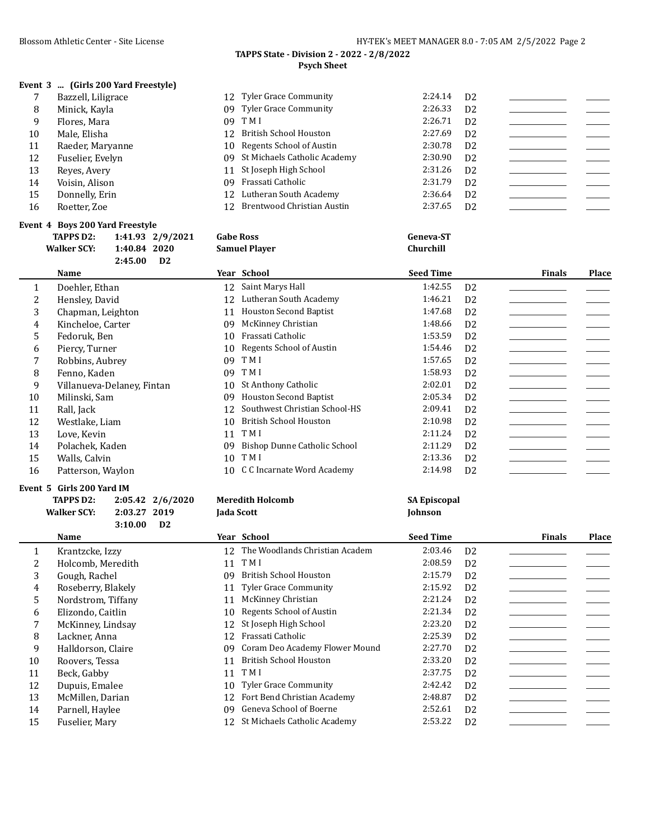# **Event 3 ... (Girls 200 Yard Freestyle)**

|    | Bazzell, Liligrace | 12 Tyler Grace Community        | 2:24.14 | D <sub>2</sub> |  |
|----|--------------------|---------------------------------|---------|----------------|--|
| 8  | Minick, Kayla      | 09 Tyler Grace Community        | 2:26.33 | D <sub>2</sub> |  |
| 9  | Flores, Mara       | 09 TMI                          | 2:26.71 | D <sub>2</sub> |  |
| 10 | Male, Elisha       | 12 British School Houston       | 2:27.69 | D <sub>2</sub> |  |
| 11 | Raeder, Maryanne   | 10 Regents School of Austin     | 2:30.78 | D <sub>2</sub> |  |
| 12 | Fuselier, Evelyn   | 09 St Michaels Catholic Academy | 2:30.90 | D <sub>2</sub> |  |
| 13 | Reves, Avery       | 11 St Joseph High School        | 2:31.26 | D <sub>2</sub> |  |
| 14 | Voisin, Alison     | 09 Frassati Catholic            | 2:31.79 | D <sub>2</sub> |  |
| 15 | Donnelly, Erin     | 12 Lutheran South Academy       | 2:36.64 | D <sub>2</sub> |  |
| 16 | Roetter, Zoe       | 12 Brentwood Christian Austin   | 2:37.65 | D <sub>2</sub> |  |

# **Event 4 Boys 200 Yard Freestyle**

|    | <b>TAPPS D2:</b>              | 1:41.93 2/9/2021 |    | <b>Gabe Ross</b>              | <b>Geneva-ST</b> |                |               |       |
|----|-------------------------------|------------------|----|-------------------------------|------------------|----------------|---------------|-------|
|    | <b>Walker SCY:</b><br>1:40.84 | 2020             |    | <b>Samuel Player</b>          | Churchill        |                |               |       |
|    | 2:45.00                       | D2               |    |                               |                  |                |               |       |
|    | Name                          |                  |    | Year School                   | <b>Seed Time</b> |                | <b>Finals</b> | Place |
| 1  | Doehler, Ethan                |                  | 12 | Saint Marys Hall              | 1:42.55          | D <sub>2</sub> |               |       |
| 2  | Hensley, David                |                  | 12 | Lutheran South Academy        | 1:46.21          | D <sub>2</sub> |               |       |
| 3  | Chapman, Leighton             |                  | 11 | <b>Houston Second Baptist</b> | 1:47.68          | D <sub>2</sub> |               |       |
| 4  | Kincheloe, Carter             |                  | 09 | McKinney Christian            | 1:48.66          | D <sub>2</sub> |               |       |
| 5  | Fedoruk, Ben                  |                  | 10 | Frassati Catholic             | 1:53.59          | D <sub>2</sub> |               |       |
| 6  | Piercy, Turner                |                  | 10 | Regents School of Austin      | 1:54.46          | D <sub>2</sub> |               |       |
|    | Robbins, Aubrey               |                  | 09 | T M I                         | 1:57.65          | D <sub>2</sub> |               |       |
| 8  | Fenno, Kaden                  |                  | 09 | T M I                         | 1:58.93          | D <sub>2</sub> |               |       |
| 9  | Villanueva-Delanev, Fintan    |                  | 10 | St Anthony Catholic           | 2:02.01          | D <sub>2</sub> |               |       |
| 10 | Milinski, Sam                 |                  | 09 | <b>Houston Second Baptist</b> | 2:05.34          | D <sub>2</sub> |               |       |
| 11 | Rall, Jack                    |                  | 12 | Southwest Christian School-HS | 2:09.41          | D <sub>2</sub> |               |       |
| 12 | Westlake, Liam                |                  | 10 | <b>British School Houston</b> | 2:10.98          | D <sub>2</sub> |               |       |
| 13 | Love, Kevin                   |                  | 11 | T M I                         | 2:11.24          | D <sub>2</sub> |               |       |
| 14 | Polachek, Kaden               |                  | 09 | Bishop Dunne Catholic School  | 2:11.29          | D <sub>2</sub> |               |       |
| 15 | Walls, Calvin                 |                  | 10 | T M I                         | 2:13.36          | D <sub>2</sub> |               |       |
| 16 | Patterson, Waylon             |                  | 10 | C C Incarnate Word Academy    | 2:14.98          | D <sub>2</sub> |               |       |

### **Event 5 Girls 200 Yard IM**

|    | <b>TAPPS D2:</b><br><b>Walker SCY:</b><br>2:03.27<br>3:10.00 | 2:05.42 2/6/2020<br>2019<br>D <sub>2</sub> | <b>Meredith Holcomb</b><br>Jada Scott | <b>SA Episcopal</b><br>Johnson |                |               |       |
|----|--------------------------------------------------------------|--------------------------------------------|---------------------------------------|--------------------------------|----------------|---------------|-------|
|    | Name                                                         |                                            | Year School                           | <b>Seed Time</b>               |                | <b>Finals</b> | Place |
| 1  | Krantzcke, Izzy                                              | 12                                         | The Woodlands Christian Academ        | 2:03.46                        | D <sub>2</sub> |               |       |
| 2  | Holcomb, Meredith                                            | 11                                         | T M I                                 | 2:08.59                        | D <sub>2</sub> |               |       |
| 3  | Gough, Rachel                                                | 09                                         | British School Houston                | 2:15.79                        | D <sub>2</sub> |               |       |
| 4  | Roseberry, Blakely                                           | 11                                         | <b>Tyler Grace Community</b>          | 2:15.92                        | D <sub>2</sub> |               |       |
| 5. | Nordstrom, Tiffany                                           | 11                                         | McKinney Christian                    | 2:21.24                        | D <sub>2</sub> |               |       |
| 6  | Elizondo, Caitlin                                            | 10                                         | Regents School of Austin              | 2:21.34                        | D <sub>2</sub> |               |       |
| 7  | McKinney, Lindsay                                            | 12                                         | St Joseph High School                 | 2:23.20                        | D <sub>2</sub> |               |       |
| 8  | Lackner, Anna                                                | 12                                         | Frassati Catholic                     | 2:25.39                        | D <sub>2</sub> |               |       |
| 9  | Halldorson, Claire                                           | 09                                         | Coram Deo Academy Flower Mound        | 2:27.70                        | D <sub>2</sub> |               |       |
| 10 | Roovers, Tessa                                               | 11                                         | <b>British School Houston</b>         | 2:33.20                        | D <sub>2</sub> |               |       |
| 11 | Beck, Gabby                                                  | 11                                         | T M I                                 | 2:37.75                        | D <sub>2</sub> |               |       |
| 12 | Dupuis, Emalee                                               | 10                                         | <b>Tyler Grace Community</b>          | 2:42.42                        | D <sub>2</sub> |               |       |
| 13 | McMillen, Darian                                             | 12                                         | Fort Bend Christian Academy           | 2:48.87                        | D <sub>2</sub> |               |       |
| 14 | Parnell, Haylee                                              | 09                                         | Geneva School of Boerne               | 2:52.61                        | D <sub>2</sub> |               |       |
| 15 | Fuselier, Mary                                               | 12                                         | St Michaels Catholic Academy          | 2:53.22                        | D <sub>2</sub> |               |       |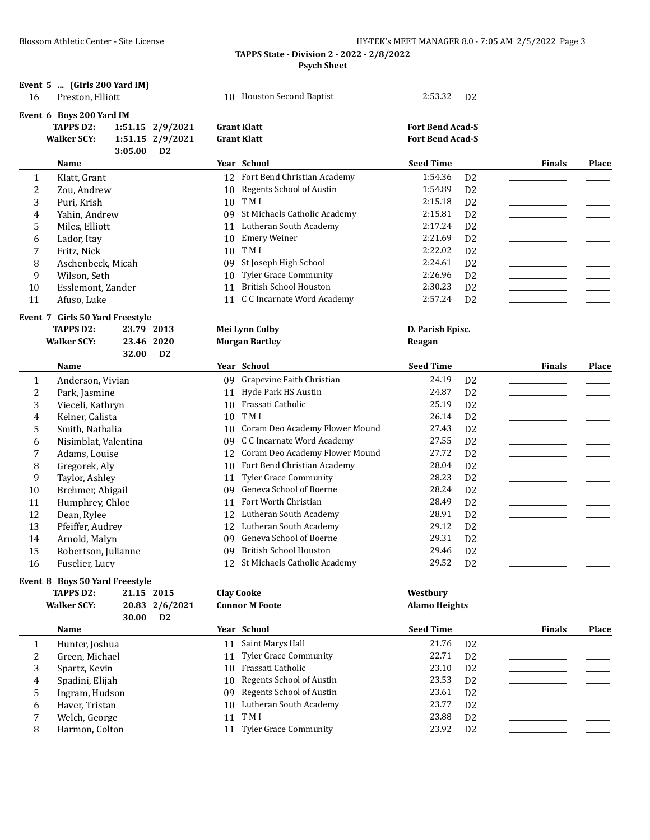| 16           | Event 5  (Girls 200 Yard IM)<br>Preston, Elliott |         |                  |    | 10 Houston Second Baptist         | 2:53.32                 | D <sub>2</sub> |               |              |
|--------------|--------------------------------------------------|---------|------------------|----|-----------------------------------|-------------------------|----------------|---------------|--------------|
|              | Event 6 Boys 200 Yard IM                         |         |                  |    |                                   |                         |                |               |              |
|              | <b>TAPPS D2:</b>                                 |         | 1:51.15 2/9/2021 |    | <b>Grant Klatt</b>                | <b>Fort Bend Acad-S</b> |                |               |              |
|              | <b>Walker SCY:</b>                               |         | 1:51.15 2/9/2021 |    | <b>Grant Klatt</b>                | <b>Fort Bend Acad-S</b> |                |               |              |
|              |                                                  | 3:05.00 | D <sub>2</sub>   |    |                                   |                         |                |               |              |
|              | Name                                             |         |                  |    | Year School                       | <b>Seed Time</b>        |                | <b>Finals</b> | <b>Place</b> |
| $\mathbf{1}$ | Klatt, Grant                                     |         |                  |    | 12 Fort Bend Christian Academy    | 1:54.36                 | D <sub>2</sub> |               |              |
| 2            | Zou, Andrew                                      |         |                  |    | 10 Regents School of Austin       | 1:54.89                 | D <sub>2</sub> |               |              |
| 3            | Puri, Krish                                      |         |                  |    | 10 TMI                            | 2:15.18                 | D <sub>2</sub> |               |              |
| 4            | Yahin, Andrew                                    |         |                  |    | 09 St Michaels Catholic Academy   | 2:15.81                 | D <sub>2</sub> |               |              |
| 5            | Miles, Elliott                                   |         |                  | 11 | Lutheran South Academy            | 2:17.24                 | D <sub>2</sub> |               |              |
| 6            | Lador, Itay                                      |         |                  | 10 | <b>Emery Weiner</b>               | 2:21.69                 | D <sub>2</sub> |               |              |
| 7            | Fritz, Nick                                      |         |                  | 10 | T M I                             | 2:22.02                 | D <sub>2</sub> |               |              |
| 8            | Aschenbeck, Micah                                |         |                  | 09 | St Joseph High School             | 2:24.61                 | D <sub>2</sub> |               |              |
| 9            | Wilson, Seth                                     |         |                  | 10 | <b>Tyler Grace Community</b>      | 2:26.96                 | D <sub>2</sub> |               |              |
| 10           | Esslemont, Zander                                |         |                  | 11 | <b>British School Houston</b>     | 2:30.23                 | D <sub>2</sub> |               |              |
| 11           | Afuso, Luke                                      |         |                  |    | 11 C C Incarnate Word Academy     | 2:57.24                 | D <sub>2</sub> |               |              |
|              | Event 7 Girls 50 Yard Freestyle                  |         |                  |    |                                   |                         |                |               |              |
|              | <b>TAPPS D2:</b>                                 |         | 23.79 2013       |    | Mei Lynn Colby                    | D. Parish Episc.        |                |               |              |
|              | <b>Walker SCY:</b>                               |         | 23.46 2020       |    | <b>Morgan Bartley</b>             | Reagan                  |                |               |              |
|              |                                                  |         |                  |    |                                   |                         |                |               |              |
|              |                                                  | 32.00   | D <sub>2</sub>   |    |                                   |                         |                |               |              |
|              | Name                                             |         |                  |    | Year School                       | <b>Seed Time</b>        |                | <b>Finals</b> | <b>Place</b> |
| $\mathbf{1}$ | Anderson, Vivian                                 |         |                  |    | 09 Grapevine Faith Christian      | 24.19                   | D <sub>2</sub> |               |              |
| 2            | Park, Jasmine                                    |         |                  | 11 | Hyde Park HS Austin               | 24.87                   | D <sub>2</sub> |               |              |
| 3            | Vieceli, Kathryn                                 |         |                  |    | 10 Frassati Catholic              | 25.19                   | D <sub>2</sub> |               |              |
| 4            | Kelner, Calista                                  |         |                  |    | 10 TMI                            | 26.14                   | D <sub>2</sub> |               |              |
| 5            | Smith, Nathalia                                  |         |                  |    | 10 Coram Deo Academy Flower Mound | 27.43                   | D <sub>2</sub> |               |              |
| 6            | Nisimblat, Valentina                             |         |                  |    | 09 C C Incarnate Word Academy     | 27.55                   | D <sub>2</sub> |               |              |
| 7            | Adams, Louise                                    |         |                  |    | 12 Coram Deo Academy Flower Mound | 27.72                   | D <sub>2</sub> |               |              |
| 8            | Gregorek, Aly                                    |         |                  |    | 10 Fort Bend Christian Academy    | 28.04                   | D <sub>2</sub> |               |              |
| 9            | Taylor, Ashley                                   |         |                  |    | 11 Tyler Grace Community          | 28.23                   | D <sub>2</sub> |               |              |
| 10           | Brehmer, Abigail                                 |         |                  | 09 | Geneva School of Boerne           | 28.24                   | D <sub>2</sub> |               |              |
| 11           | Humphrey, Chloe                                  |         |                  | 11 | Fort Worth Christian              | 28.49                   | D <sub>2</sub> |               |              |
| 12           | Dean, Rylee                                      |         |                  |    | 12 Lutheran South Academy         | 28.91                   | D <sub>2</sub> |               |              |
| 13           | Pfeiffer, Audrey                                 |         |                  |    | 12 Lutheran South Academy         | 29.12                   | D <sub>2</sub> |               |              |
| 14           | Arnold, Malyn                                    |         |                  |    | 09 Geneva School of Boerne        | 29.31                   | D <sub>2</sub> |               |              |
| 15           | Robertson, Julianne                              |         |                  |    | 09 British School Houston         | 29.46                   | D <sub>2</sub> |               |              |
| 16           | Fuselier, Lucy                                   |         |                  |    | 12 St Michaels Catholic Academy   | 29.52                   | D <sub>2</sub> |               |              |
|              | Event 8 Boys 50 Yard Freestyle                   |         |                  |    |                                   |                         |                |               |              |
|              | <b>TAPPS D2:</b>                                 |         | 21.15 2015       |    | <b>Clay Cooke</b>                 | Westbury                |                |               |              |

|   | 30.00           | D <sub>2</sub> |                             |                  |                |               |              |
|---|-----------------|----------------|-----------------------------|------------------|----------------|---------------|--------------|
|   | Name            |                | Year School                 | <b>Seed Time</b> |                | <b>Finals</b> | <b>Place</b> |
|   | Hunter, Joshua  | 11             | Saint Marys Hall            | 21.76            | D <sub>2</sub> |               |              |
|   | Green, Michael  |                | 11 Tyler Grace Community    | 22.71            | D <sub>2</sub> |               |              |
| 3 | Spartz, Kevin   | 10.            | Frassati Catholic           | 23.10            | D <sub>2</sub> |               |              |
| 4 | Spadini, Elijah |                | 10 Regents School of Austin | 23.53            | D <sub>2</sub> |               |              |
| 5 | Ingram, Hudson  |                | 09 Regents School of Austin | 23.61            | D <sub>2</sub> |               |              |
| 6 | Haver, Tristan  | 10             | Lutheran South Academy      | 23.77            | D <sub>2</sub> |               |              |
|   | Welch, George   | 11             | T M I                       | 23.88            | D <sub>2</sub> |               |              |
| 8 | Harmon, Colton  | 11             | Tyler Grace Community       | 23.92            | D <sub>2</sub> |               |              |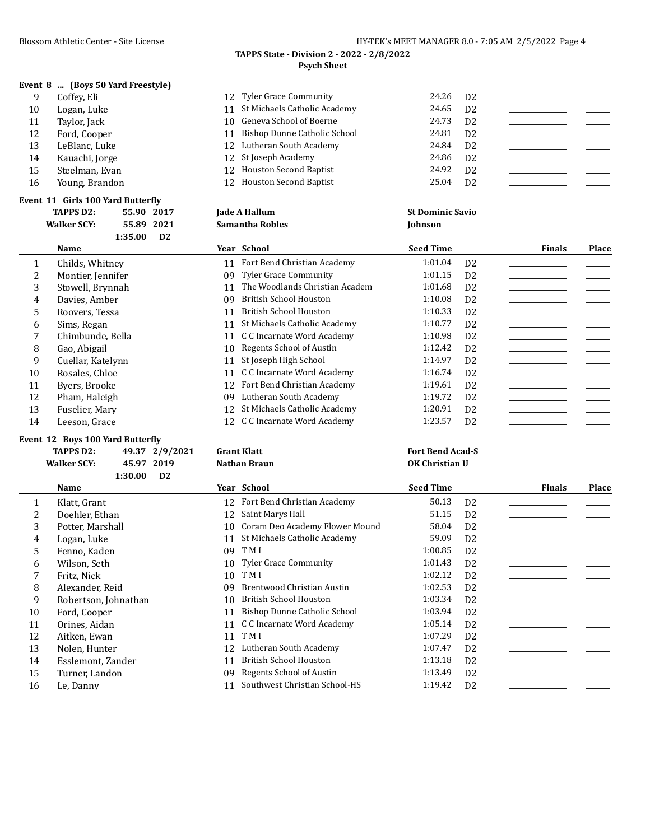|  | Event 8  (Boys 50 Yard Freestyle) |  |
|--|-----------------------------------|--|
|--|-----------------------------------|--|

| 9  | Coffey, Eli    | 12 Tyler Grace Community        | 24.26 | D <sub>2</sub> |  |
|----|----------------|---------------------------------|-------|----------------|--|
| 10 | Logan, Luke    | 11 St Michaels Catholic Academy | 24.65 | D <sub>2</sub> |  |
| 11 | Taylor, Jack   | 10 Geneva School of Boerne      | 24.73 | D <sub>2</sub> |  |
| 12 | Ford, Cooper   | 11 Bishop Dunne Catholic School | 24.81 | D <sub>2</sub> |  |
| 13 | LeBlanc, Luke  | 12 Lutheran South Academy       | 24.84 | D <sub>2</sub> |  |
| 14 | Kauachi, Jorge | 12 St Joseph Academy            | 24.86 | D <sub>2</sub> |  |
| 15 | Steelman, Evan | 12 Houston Second Baptist       | 24.92 | D <sub>2</sub> |  |
| 16 | Young, Brandon | 12 Houston Second Baptist       | 25.04 | D <sub>2</sub> |  |
|    |                |                                 |       |                |  |

### **Event 11 Girls 100 Yard Butterfly**

|              | <b>TAPPS D2:</b><br><b>Walker SCY:</b> | 55.90 2017<br>1:35.00 | 55.89 2021<br>D2 |    | Jade A Hallum<br><b>Samantha Robles</b> | <b>St Dominic Savio</b><br>Johnson |                |               |       |
|--------------|----------------------------------------|-----------------------|------------------|----|-----------------------------------------|------------------------------------|----------------|---------------|-------|
|              | Name                                   |                       |                  |    | Year School                             | <b>Seed Time</b>                   |                | <b>Finals</b> | Place |
| $\mathbf{1}$ | Childs, Whitney                        |                       |                  | 11 | Fort Bend Christian Academy             | 1:01.04                            | D <sub>2</sub> |               |       |
| 2            | Montier, Jennifer                      |                       |                  | 09 | <b>Tyler Grace Community</b>            | 1:01.15                            | D <sub>2</sub> |               |       |
| 3            | Stowell, Brynnah                       |                       |                  | 11 | The Woodlands Christian Academ          | 1:01.68                            | D <sub>2</sub> |               |       |
| 4            | Davies, Amber                          |                       |                  | 09 | <b>British School Houston</b>           | 1:10.08                            | D <sub>2</sub> |               |       |
| 5            | Roovers, Tessa                         |                       |                  | 11 | <b>British School Houston</b>           | 1:10.33                            | D <sub>2</sub> |               |       |
| 6            | Sims, Regan                            |                       |                  | 11 | St Michaels Catholic Academy            | 1:10.77                            | D <sub>2</sub> |               |       |
| 7            | Chimbunde, Bella                       |                       |                  | 11 | C C Incarnate Word Academy              | 1:10.98                            | D <sub>2</sub> |               |       |
| 8            | Gao, Abigail                           |                       |                  | 10 | Regents School of Austin                | 1:12.42                            | D <sub>2</sub> |               |       |
| 9            | Cuellar, Katelynn                      |                       |                  | 11 | St Joseph High School                   | 1:14.97                            | D <sub>2</sub> |               |       |
| 10           | Rosales, Chloe                         |                       |                  | 11 | C C Incarnate Word Academy              | 1:16.74                            | D <sub>2</sub> |               |       |
| 11           | Byers, Brooke                          |                       |                  | 12 | Fort Bend Christian Academy             | 1:19.61                            | D <sub>2</sub> |               |       |
| 12           | Pham, Haleigh                          |                       |                  | 09 | Lutheran South Academy                  | 1:19.72                            | D <sub>2</sub> |               |       |
| 13           | Fuselier, Mary                         |                       |                  | 12 | St Michaels Catholic Academy            | 1:20.91                            | D <sub>2</sub> |               |       |
| 14           | Leeson, Grace                          |                       |                  | 12 | C C Incarnate Word Academy              | 1:23.57                            | D <sub>2</sub> |               |       |

### **Event 12 Boys 100 Yard Butterfly**

# **TAPPS D2: 49.37 2/9/2021 Grant Klatt Fort Bend Acad-S**

# **Walker SCY: 45.97 2019 Nathan Braun OK Christian U 1:30.00 D2 Name Year School Seed Time Finals Place** 1 Klatt, Grant 12 Fort Bend Christian Academy 50.13 D2 2 Doehler, Ethan 12 Saint Marys Hall 51.15 D2 3 Potter, Marshall 10 Coram Deo Academy Flower Mound 58.04 D2 4 Logan, Luke 11 St Michaels Catholic Academy 59.09 D2 5 Fenno, Kaden 09 T M I 1:00.85 D2 \_\_\_\_\_\_\_\_\_\_\_\_\_\_\_\_\_ \_\_\_\_\_\_\_ 6 Wilson, Seth 10 Tyler Grace Community 1:01.43 D2 \_\_\_\_\_\_\_\_\_\_\_\_\_\_\_\_\_\_\_\_\_\_\_\_\_\_\_\_\_<br>7 Fritz, Nick 10 TMI 1:02.12 D2 7 Fritz, Nick 10 T M I 1:02.12 D2 \_\_\_\_\_\_\_\_\_\_\_\_\_\_\_\_\_ \_\_\_\_\_\_\_ 8 Alexander, Reid 1:02.53 D2 9 Robertson, Johnathan 10 British School Houston 1:03.34 D2<br>10 Ford, Cooper 1:03.94 D2 Ford, Cooper 11 Bishop Dunne Catholic School 1:03.94 D2 \_\_\_\_\_\_\_\_\_\_\_\_\_\_\_\_\_\_\_\_\_\_\_\_ 11 Orines, Aidan 11 C C Incarnate Word Academy 1:05.14 D 2 \_\_\_\_\_\_\_\_\_\_\_\_\_\_\_\_\_\_\_\_\_ 12 Aitken, Ewan 11 T M I 1:07.29 D2 \_\_\_\_\_\_\_\_\_\_\_\_\_\_\_\_\_ \_\_\_\_\_\_\_ 13 Nolen, Hunter 12 Lutheran South Academy 1:07.47 D2 14 Esslemont, Zander 11 British School Houston 1:13.18 D2 15 Turner, Landon 09 Regents School of Austin 1:13.49 D2 16 Le, Danny 11 Southwest Christian School-HS 1:19.42 D2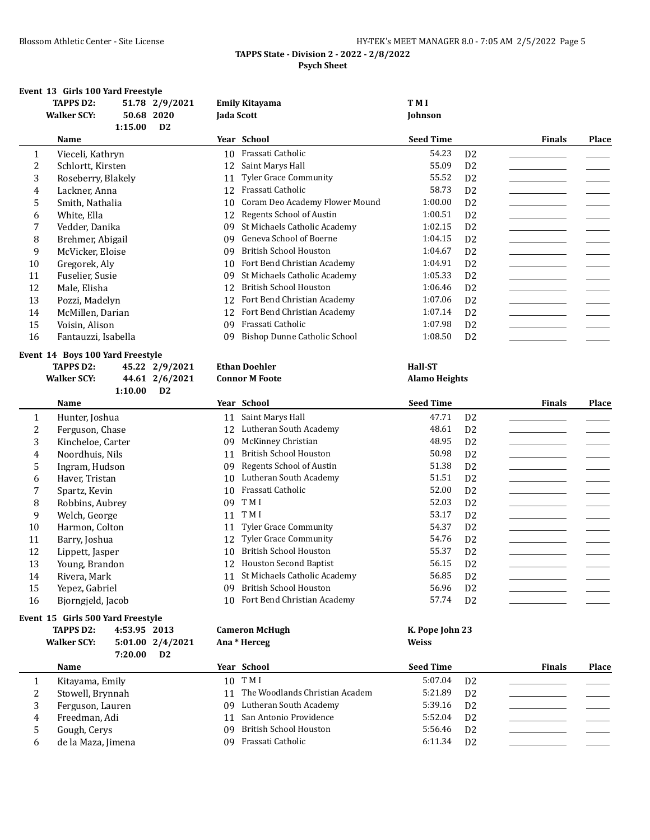| HY-TEK's MEET MANAGER 8.0 - 7:05 AM 2/5/2022 Page 5 |  |  |
|-----------------------------------------------------|--|--|
| $\cdots$ $\alpha$ associates and $\alpha$           |  |  |

# **Event 13 Girls 100 Yard Freestyle**

|    | <b>TAPPS D2:</b>        |         | 51.78 2/9/2021 |    | <b>Emily Kitayama</b>          | T M I            |                |               |       |
|----|-------------------------|---------|----------------|----|--------------------------------|------------------|----------------|---------------|-------|
|    | <b>Walker SCY:</b>      | 50.68   | 2020           |    | Jada Scott                     | Johnson          |                |               |       |
|    |                         | 1:15.00 | D <sub>2</sub> |    |                                |                  |                |               |       |
|    | Name                    |         |                |    | Year School                    | <b>Seed Time</b> |                | <b>Finals</b> | Place |
|    | Vieceli, Kathryn<br>1   |         |                | 10 | Frassati Catholic              | 54.23            | D <sub>2</sub> |               |       |
|    | 2<br>Schlortt, Kirsten  |         |                | 12 | Saint Marys Hall               | 55.09            | D <sub>2</sub> |               |       |
|    | 3<br>Roseberry, Blakely |         |                | 11 | <b>Tyler Grace Community</b>   | 55.52            | D <sub>2</sub> |               |       |
|    | Lackner, Anna<br>4      |         |                | 12 | Frassati Catholic              | 58.73            | D <sub>2</sub> |               |       |
|    | 5<br>Smith, Nathalia    |         |                | 10 | Coram Deo Academy Flower Mound | 1:00.00          | D <sub>2</sub> |               |       |
|    | 6<br>White, Ella        |         |                | 12 | Regents School of Austin       | 1:00.51          | D <sub>2</sub> |               |       |
|    | Vedder, Danika          |         |                | 09 | St Michaels Catholic Academy   | 1:02.15          | D <sub>2</sub> |               |       |
|    | 8<br>Brehmer, Abigail   |         |                | 09 | Geneva School of Boerne        | 1:04.15          | D <sub>2</sub> |               |       |
|    | 9<br>McVicker, Eloise   |         |                | 09 | <b>British School Houston</b>  | 1:04.67          | D <sub>2</sub> |               |       |
| 10 | Gregorek, Aly           |         |                | 10 | Fort Bend Christian Academy    | 1:04.91          | D <sub>2</sub> |               |       |
| 11 | Fuselier, Susie         |         |                | 09 | St Michaels Catholic Academy   | 1:05.33          | D <sub>2</sub> |               |       |
| 12 | Male, Elisha            |         |                | 12 | <b>British School Houston</b>  | 1:06.46          | D <sub>2</sub> |               |       |
| 13 | Pozzi, Madelyn          |         |                | 12 | Fort Bend Christian Academy    | 1:07.06          | D <sub>2</sub> |               |       |
| 14 | McMillen, Darian        |         |                | 12 | Fort Bend Christian Academy    | 1:07.14          | D <sub>2</sub> |               |       |
| 15 | Voisin, Alison          |         |                | 09 | Frassati Catholic              | 1:07.98          | D <sub>2</sub> |               |       |
| 16 | Fantauzzi, Isabella     |         |                | 09 | Bishop Dunne Catholic School   | 1:08.50          | D <sub>2</sub> |               |       |
|    |                         |         |                |    |                                |                  |                |               |       |

### **Event 14 Boys 100 Yard Freestyle**

| TAPPS D2:          |         | 45.22 2/9/2021 | Et |
|--------------------|---------|----------------|----|
| <b>Walker SCY:</b> |         | 44.61 2/6/2021 | Cо |
|                    | 1:10.00 | D2             |    |

# **TABLE EXECUTE: TABLE EXECUTE: PERIMPTE: PERIMPTE: PERIMPTE: PERIMPTE: PERIMPTE: PERIMPTE: PERIMPTE: PERIMPTE: PERIMPTE: PERIMPTE: PERIMPTE: PERIMPTE: PERIMPTE: PERIMPTE: PERIMPTE: PERIMPT Alamo Heights**

|    | Name              |    | Year School                   | <b>Seed Time</b> |                | <b>Finals</b> | Place |
|----|-------------------|----|-------------------------------|------------------|----------------|---------------|-------|
|    | Hunter, Joshua    | 11 | Saint Marys Hall              | 47.71            | D <sub>2</sub> |               |       |
|    | Ferguson, Chase   | 12 | Lutheran South Academy        | 48.61            | D <sub>2</sub> |               |       |
| 3  | Kincheloe, Carter | 09 | McKinney Christian            | 48.95            | D <sub>2</sub> |               |       |
| 4  | Noordhuis, Nils   | 11 | British School Houston        | 50.98            | D <sub>2</sub> |               |       |
| 5  | Ingram, Hudson    | 09 | Regents School of Austin      | 51.38            | D <sub>2</sub> |               |       |
| 6  | Haver, Tristan    | 10 | Lutheran South Academy        | 51.51            | D <sub>2</sub> |               |       |
|    | Spartz, Kevin     | 10 | Frassati Catholic             | 52.00            | D <sub>2</sub> |               |       |
| 8  | Robbins, Aubrey   | 09 | T M I                         | 52.03            | D <sub>2</sub> |               |       |
| 9  | Welch, George     | 11 | T M I                         | 53.17            | D <sub>2</sub> |               |       |
| 10 | Harmon, Colton    | 11 | <b>Tyler Grace Community</b>  | 54.37            | D <sub>2</sub> |               |       |
| 11 | Barry, Joshua     | 12 | <b>Tyler Grace Community</b>  | 54.76            | D <sub>2</sub> |               |       |
| 12 | Lippett, Jasper   | 10 | British School Houston        | 55.37            | D <sub>2</sub> |               |       |
| 13 | Young, Brandon    | 12 | <b>Houston Second Baptist</b> | 56.15            | D <sub>2</sub> |               |       |
| 14 | Rivera, Mark      | 11 | St Michaels Catholic Academy  | 56.85            | D <sub>2</sub> |               |       |
| 15 | Yepez, Gabriel    | 09 | <b>British School Houston</b> | 56.96            | D <sub>2</sub> |               |       |
| 16 | Biorngield, Jacob | 10 | Fort Bend Christian Academy   | 57.74            | D <sub>2</sub> |               |       |

# **Event 15 Girls 500 Yard Freestyle<br>TAPPS D2:** 4.53.95.201

|   | <b>TAPPS D2:</b><br><b>Walker SCY:</b> | 4:53.95 2013<br>5:01.00 2/4/2021<br>7:20.00<br>D <sub>2</sub> | <b>Cameron McHugh</b><br>Ana * Herceg | K. Pope John 23<br><b>Weiss</b> |               |       |
|---|----------------------------------------|---------------------------------------------------------------|---------------------------------------|---------------------------------|---------------|-------|
|   | Name                                   |                                                               | Year School                           | <b>Seed Time</b>                | <b>Finals</b> | Place |
|   | Kitayama, Emily                        |                                                               | 10 TMI                                | 5:07.04<br>D <sub>2</sub>       |               |       |
| 2 | Stowell, Brynnah                       |                                                               | 11 The Woodlands Christian Academ     | 5:21.89<br>D <sub>2</sub>       |               |       |
| 3 | Ferguson, Lauren                       |                                                               | Lutheran South Academy<br>09          | 5:39.16<br>D <sub>2</sub>       |               |       |
| 4 | Freedman, Adi                          |                                                               | 11 San Antonio Providence             | 5:52.04<br>D <sub>2</sub>       |               |       |
| 5 | Gough, Cerys                           |                                                               | British School Houston<br>09          | 5:56.46<br>D <sub>2</sub>       |               |       |
| 6 | de la Maza, Jimena                     |                                                               | Frassati Catholic<br>09               | 6:11.34<br>D <sub>2</sub>       |               |       |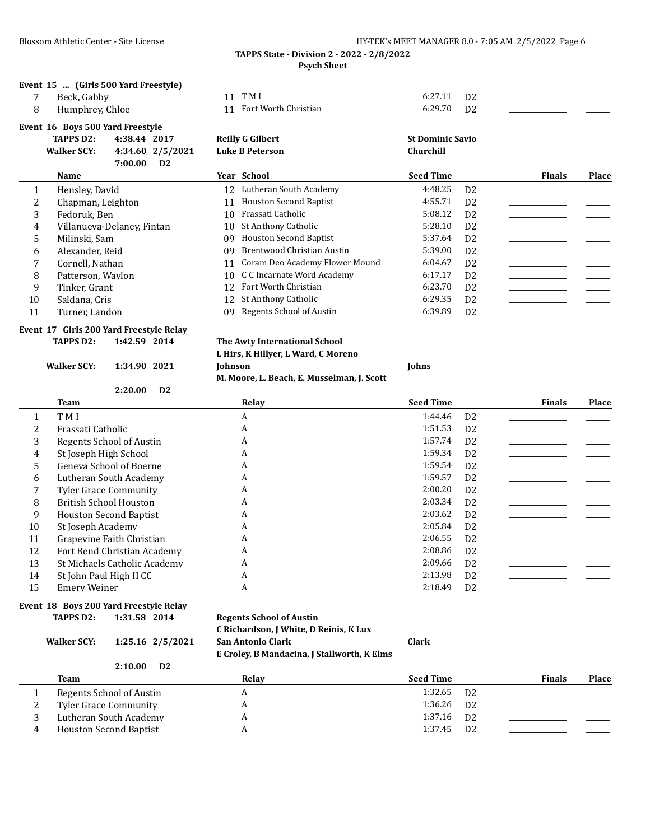|   |                                  | Event 15  (Girls 500 Yard Freestyle) |                               |                           |               |       |
|---|----------------------------------|--------------------------------------|-------------------------------|---------------------------|---------------|-------|
|   | Beck, Gabby                      |                                      | 11 TMI                        | 6:27.11<br>D <sub>2</sub> |               |       |
| 8 | Humphrey, Chloe                  |                                      | 11 Fort Worth Christian       | 6:29.70<br>D <sub>2</sub> |               |       |
|   | Event 16 Boys 500 Yard Freestyle |                                      |                               |                           |               |       |
|   | <b>TAPPS D2:</b>                 | 4:38.44 2017                         | <b>Reilly G Gilbert</b>       | <b>St Dominic Savio</b>   |               |       |
|   | <b>Walker SCY:</b>               | 4:34.60 2/5/2021                     | <b>Luke B Peterson</b>        | Churchill                 |               |       |
|   |                                  | 7:00.00<br>D <sub>2</sub>            |                               |                           |               |       |
|   | Name                             |                                      | Year School                   | <b>Seed Time</b>          | <b>Finals</b> | Place |
|   | Hensley, David                   |                                      | Lutheran South Academy<br>12. | 4:48.25<br>D <sub>2</sub> |               |       |

|    | Chapman, Leighton          | 11  | <b>Houston Second Baptist</b>     | 4:55.71 | D <sub>2</sub> |  |
|----|----------------------------|-----|-----------------------------------|---------|----------------|--|
|    | Fedoruk, Ben               |     | 10 Frassati Catholic              | 5:08.12 | D <sub>2</sub> |  |
| 4  | Villanueva-Delanev, Fintan |     | 10 St Anthony Catholic            | 5:28.10 | D <sub>2</sub> |  |
|    | Milinski, Sam              | 09. | <b>Houston Second Baptist</b>     | 5:37.64 | D <sub>2</sub> |  |
| b  | Alexander, Reid            |     | 09 Brentwood Christian Austin     | 5:39.00 | D <sub>2</sub> |  |
|    | Cornell, Nathan            |     | 11 Coram Deo Academy Flower Mound | 6:04.67 | D <sub>2</sub> |  |
| 8  | Patterson, Waylon          |     | 10 C C Incarnate Word Academy     | 6:17.17 | D <sub>2</sub> |  |
| 9  | Tinker, Grant              |     | 12 Fort Worth Christian           | 6:23.70 | D <sub>2</sub> |  |
| 10 | Saldana, Cris              |     | 12 St Anthony Catholic            | 6:29.35 | D <sub>2</sub> |  |
|    | Turner, Landon             |     | 09 Regents School of Austin       | 6:39.89 | D <sub>2</sub> |  |

### **Event 17 Girls 200 Yard Freestyle Relay TAPPS D2: 1:42.59 2014 The Awty International School**

**2:20.00 D2**

# **L Hirs, K Hillyer, L Ward, C Moreno**

**M. Moore, L. Beach, E. Musselman, J. Scott**

**Walker SCY: 1:34.90 2021 Johnson Johns**

|    | Team                          | Relay | <b>Seed Time</b>          | <b>Finals</b> | Place |
|----|-------------------------------|-------|---------------------------|---------------|-------|
|    | T M I                         | A     | 1:44.46<br>D <sub>2</sub> |               |       |
|    | Frassati Catholic             | A     | 1:51.53<br>D <sub>2</sub> |               |       |
| 3  | Regents School of Austin      | A     | 1:57.74<br>D <sub>2</sub> |               |       |
| 4  | St Joseph High School         | A     | 1:59.34<br>D <sub>2</sub> |               |       |
| .5 | Geneva School of Boerne       | A     | 1:59.54<br>D <sub>2</sub> |               |       |
| 6  | Lutheran South Academy        | A     | 1:59.57<br>D <sub>2</sub> |               |       |
|    | <b>Tyler Grace Community</b>  | A     | 2:00.20<br>D <sub>2</sub> |               |       |
| 8  | <b>British School Houston</b> | A     | 2:03.34<br>D <sub>2</sub> |               |       |
| 9  | <b>Houston Second Baptist</b> | A     | 2:03.62<br>D <sub>2</sub> |               |       |
| 10 | St Joseph Academy             | A     | 2:05.84<br>D <sub>2</sub> |               |       |
| 11 | Grapevine Faith Christian     | A     | 2:06.55<br>D <sub>2</sub> |               |       |
| 12 | Fort Bend Christian Academy   | A     | 2:08.86<br>D <sub>2</sub> |               |       |
| 13 | St Michaels Catholic Academy  | A     | 2:09.66<br>D <sub>2</sub> |               |       |
| 14 | St John Paul High II CC       | A     | 2:13.98<br>D <sub>2</sub> |               |       |
| 15 | <b>Emery Weiner</b>           | A     | 2:18.49<br>D <sub>2</sub> |               |       |

### **Event 18 Boys 200 Yard Freestyle Relay**

**TAPPS D2: 1:31.58 2014 Regents School of Austin**

| <b>Walker SCY:</b> | 1:25.16 2/5/2021          | C Richardson, J White, D Reinis, K Lux<br>San Antonio Clark<br>E Croley, B Mandacina, J Stallworth, K Elms | Clark |
|--------------------|---------------------------|------------------------------------------------------------------------------------------------------------|-------|
|                    | 2:10.00<br>D <sub>2</sub> |                                                                                                            |       |
| <b>Team</b>        |                           | Relay                                                                                                      | Seed  |
|                    |                           |                                                                                                            |       |

|   | Team                          | Relay | <b>Seed Time</b>          | <b>Finals</b> | <b>Place</b> |
|---|-------------------------------|-------|---------------------------|---------------|--------------|
|   | Regents School of Austin      |       | 1:32.65<br>D <sub>2</sub> |               |              |
|   | Tyler Grace Community         |       | $1:36.26$ D <sub>2</sub>  |               |              |
|   | Lutheran South Academy        |       | 1:37.16<br>D <sub>2</sub> |               |              |
| 4 | <b>Houston Second Baptist</b> |       | 1:37.45<br>D <sub>2</sub> |               |              |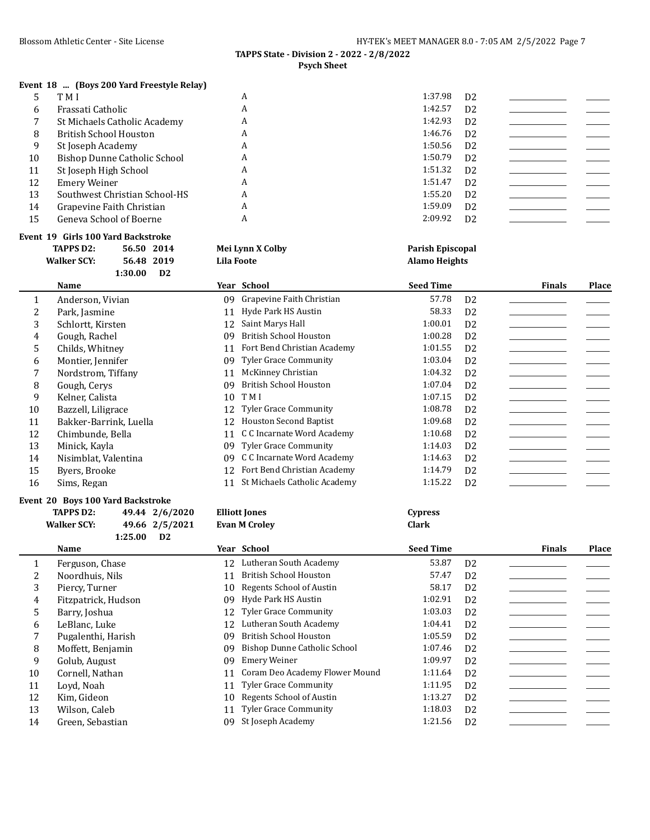# **Event 18 ... (Boys 200 Yard Freestyle Relay)**

|    | T M I                         | A | 1:37.98 | D <sub>2</sub> |  |
|----|-------------------------------|---|---------|----------------|--|
| 6  | Frassati Catholic             | A | 1:42.57 | D <sub>2</sub> |  |
|    | St Michaels Catholic Academy  | A | 1:42.93 | D <sub>2</sub> |  |
| 8  | <b>British School Houston</b> | A | 1:46.76 | D <sub>2</sub> |  |
| 9  | St Joseph Academy             | A | 1:50.56 | D <sub>2</sub> |  |
| 10 | Bishop Dunne Catholic School  | A | 1:50.79 | D <sub>2</sub> |  |
| 11 | St Joseph High School         | A | 1:51.32 | D <sub>2</sub> |  |
| 12 | Emery Weiner                  | A | 1:51.47 | D <sub>2</sub> |  |
| 13 | Southwest Christian School-HS | A | 1:55.20 | D <sub>2</sub> |  |
| 14 | Grapevine Faith Christian     | A | 1:59.09 | D <sub>2</sub> |  |
| 15 | Geneva School of Boerne       | A | 2:09.92 | D <sub>2</sub> |  |

# **Event 19 Girls 100 Yard Backstroke**

| TAPPS D2:          | 56.50 2014 | Mei Lynn X Colby | <b>Parish Episcopal</b> |
|--------------------|------------|------------------|-------------------------|
| <b>Walker SCY:</b> | 56.48 2019 | Lila Foote       | <b>Alamo Heights</b>    |

|    | 1:30.00<br>D2          |    |                               |                  |                |               |       |
|----|------------------------|----|-------------------------------|------------------|----------------|---------------|-------|
|    | Name                   |    | Year School                   | <b>Seed Time</b> |                | <b>Finals</b> | Place |
|    | Anderson, Vivian       | 09 | Grapevine Faith Christian     | 57.78            | D <sub>2</sub> |               |       |
| 2  | Park, Jasmine          | 11 | Hyde Park HS Austin           | 58.33            | D <sub>2</sub> |               |       |
| 3  | Schlortt, Kirsten      | 12 | Saint Marys Hall              | 1:00.01          | D <sub>2</sub> |               |       |
| 4  | Gough, Rachel          | 09 | <b>British School Houston</b> | 1:00.28          | D <sub>2</sub> |               |       |
| 5  | Childs, Whitney        | 11 | Fort Bend Christian Academy   | 1:01.55          | D <sub>2</sub> |               |       |
| 6  | Montier, Jennifer      | 09 | <b>Tyler Grace Community</b>  | 1:03.04          | D <sub>2</sub> |               |       |
| 7  | Nordstrom, Tiffany     | 11 | McKinney Christian            | 1:04.32          | D <sub>2</sub> |               |       |
| 8  | Gough, Cerys           | 09 | <b>British School Houston</b> | 1:07.04          | D <sub>2</sub> |               |       |
| 9  | Kelner, Calista        | 10 | T M I                         | 1:07.15          | D <sub>2</sub> |               |       |
| 10 | Bazzell, Liligrace     | 12 | <b>Tyler Grace Community</b>  | 1:08.78          | D <sub>2</sub> |               |       |
| 11 | Bakker-Barrink, Luella | 12 | <b>Houston Second Baptist</b> | 1:09.68          | D <sub>2</sub> |               |       |
| 12 | Chimbunde, Bella       | 11 | C C Incarnate Word Academy    | 1:10.68          | D2             |               |       |
| 13 | Minick, Kayla          | 09 | Tyler Grace Community         | 1:14.03          | D2             |               |       |
| 14 | Nisimblat, Valentina   | 09 | C C Incarnate Word Academy    | 1:14.63          | D2             |               |       |
| 15 | Byers, Brooke          | 12 | Fort Bend Christian Academy   | 1:14.79          | D <sub>2</sub> |               |       |
| 16 | Sims, Regan            | 11 | St Michaels Catholic Academy  | 1:15.22          | D <sub>2</sub> |               |       |

# **Event 20 Boys 100 Yard Backstroke**

|    | Event 20 Boys 100 Yard Backstroke |                |    |                                |                  |                |               |       |
|----|-----------------------------------|----------------|----|--------------------------------|------------------|----------------|---------------|-------|
|    | <b>TAPPS D2:</b>                  | 49.44 2/6/2020 |    | <b>Elliott Jones</b>           | <b>Cypress</b>   |                |               |       |
|    | <b>Walker SCY:</b>                | 49.66 2/5/2021 |    | <b>Evan M Croley</b>           | <b>Clark</b>     |                |               |       |
|    | 1:25.00                           | D <sub>2</sub> |    |                                |                  |                |               |       |
|    | Name                              |                |    | Year School                    | <b>Seed Time</b> |                | <b>Finals</b> | Place |
|    | Ferguson, Chase                   |                | 12 | Lutheran South Academy         | 53.87            | D <sub>2</sub> |               |       |
| 2  | Noordhuis, Nils                   |                | 11 | <b>British School Houston</b>  | 57.47            | D <sub>2</sub> |               |       |
| 3  | Piercy, Turner                    |                | 10 | Regents School of Austin       | 58.17            | D <sub>2</sub> |               |       |
| 4  | Fitzpatrick, Hudson               |                | 09 | Hyde Park HS Austin            | 1:02.91          | D <sub>2</sub> |               |       |
| 5. | Barry, Joshua                     |                | 12 | <b>Tyler Grace Community</b>   | 1:03.03          | D <sub>2</sub> |               |       |
| 6  | LeBlanc, Luke                     |                | 12 | Lutheran South Academy         | 1:04.41          | D <sub>2</sub> |               |       |
|    | Pugalenthi, Harish                |                | 09 | <b>British School Houston</b>  | 1:05.59          | D <sub>2</sub> |               |       |
| 8  | Moffett, Benjamin                 |                | 09 | Bishop Dunne Catholic School   | 1:07.46          | D <sub>2</sub> |               |       |
| 9  | Golub, August                     |                | 09 | Emery Weiner                   | 1:09.97          | D <sub>2</sub> |               |       |
| 10 | Cornell, Nathan                   |                | 11 | Coram Deo Academy Flower Mound | 1:11.64          | D <sub>2</sub> |               |       |
| 11 | Lovd, Noah                        |                | 11 | <b>Tyler Grace Community</b>   | 1:11.95          | D <sub>2</sub> |               |       |
| 12 | Kim, Gideon                       |                | 10 | Regents School of Austin       | 1:13.27          | D <sub>2</sub> |               |       |
| 13 | Wilson, Caleb                     |                | 11 | <b>Tyler Grace Community</b>   | 1:18.03          | D <sub>2</sub> |               |       |
| 14 | Green, Sebastian                  |                | 09 | St Joseph Academy              | 1:21.56          | D <sub>2</sub> |               |       |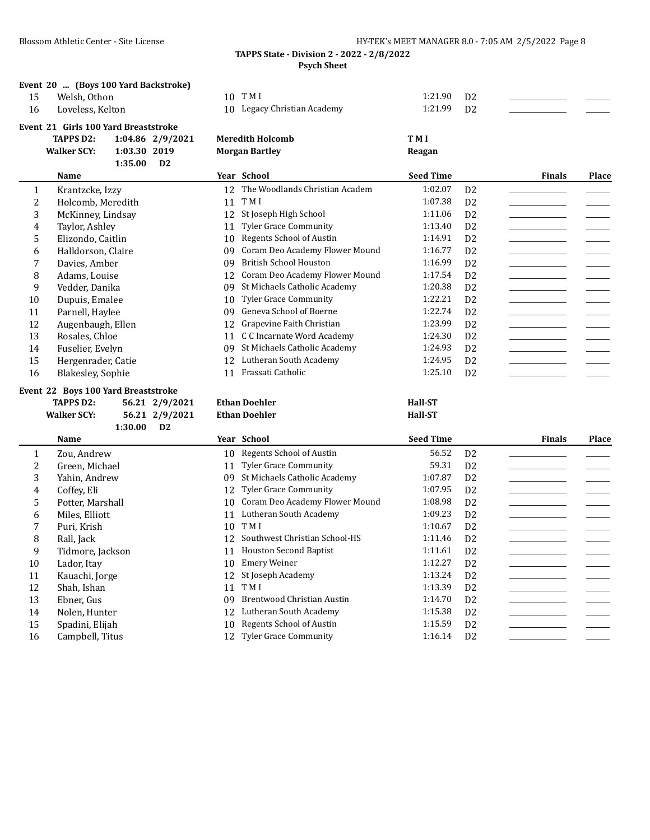|    | Event 20  (Boys 100 Yard Backstroke) |                             |         |                |  |
|----|--------------------------------------|-----------------------------|---------|----------------|--|
| 15 | Welsh. Othon                         | 10 TMI                      | 1:21.90 | D <sub>2</sub> |  |
| 16 | Loveless, Kelton                     | 10 Legacy Christian Academy | 1:21.99 | D <sub>2</sub> |  |
|    | Event 21 Girls 100 Yard Breaststroke |                             |         |                |  |

| TAPPS D2:   | 1:04.86 2/9/2021 | Meredith Holcomb      | T M I  |
|-------------|------------------|-----------------------|--------|
| Walker SCY: | 1:03.30 2019     | <b>Morgan Bartley</b> | Reagan |
|             | 1:35.00<br>D2    |                       |        |

|    | Name               |    | Year School                    | <b>Seed Time</b> |                | <b>Finals</b> | Place |
|----|--------------------|----|--------------------------------|------------------|----------------|---------------|-------|
|    | Krantzcke, Izzy    | 12 | The Woodlands Christian Academ | 1:02.07          | D <sub>2</sub> |               |       |
|    | Holcomb, Meredith  | 11 | T M I                          | 1:07.38          | D <sub>2</sub> |               |       |
| 3  | McKinney, Lindsay  | 12 | St Joseph High School          | 1:11.06          | D <sub>2</sub> |               |       |
| 4  | Taylor, Ashley     | 11 | <b>Tyler Grace Community</b>   | 1:13.40          | D <sub>2</sub> |               |       |
| 5  | Elizondo, Caitlin  | 10 | Regents School of Austin       | 1:14.91          | D2             |               |       |
| 6  | Halldorson, Claire | 09 | Coram Deo Academy Flower Mound | 1:16.77          | D <sub>2</sub> |               |       |
|    | Davies, Amber      | 09 | <b>British School Houston</b>  | 1:16.99          | D <sub>2</sub> |               |       |
| 8  | Adams, Louise      | 12 | Coram Deo Academy Flower Mound | 1:17.54          | D <sub>2</sub> |               |       |
| 9  | Vedder, Danika     | 09 | St Michaels Catholic Academy   | 1:20.38          | D <sub>2</sub> |               |       |
| 10 | Dupuis, Emalee     | 10 | <b>Tyler Grace Community</b>   | 1:22.21          | D <sub>2</sub> |               |       |
| 11 | Parnell, Haylee    | 09 | Geneva School of Boerne        | 1:22.74          | D <sub>2</sub> |               |       |
| 12 | Augenbaugh, Ellen  | 12 | Grapevine Faith Christian      | 1:23.99          | D <sub>2</sub> |               |       |
| 13 | Rosales, Chloe     | 11 | C C Incarnate Word Academy     | 1:24.30          | D <sub>2</sub> |               |       |
| 14 | Fuselier, Evelyn   | 09 | St Michaels Catholic Academy   | 1:24.93          | D <sub>2</sub> |               |       |
| 15 | Hergenrader, Catie | 12 | Lutheran South Academy         | 1:24.95          | D <sub>2</sub> |               |       |
| 16 | Blakesley, Sophie  | 11 | Frassati Catholic              | 1:25.10          | D <sub>2</sub> |               |       |

# **Event 22 Boys 100 Yard Breaststroke**

| <b>TAPPS D2:</b> | 56.21 2/9/2021 | Ethan Doehler | <b>Hall-ST</b> |
|------------------|----------------|---------------|----------------|
| Walker SCY:      | 56.21 2/9/2021 | Ethan Doehler | <b>Hall-ST</b> |
|                  | 1:30.00<br>D2  |               |                |

|    | Name             |    | Year School                    | <b>Seed Time</b> |                | <b>Finals</b> | <b>Place</b> |
|----|------------------|----|--------------------------------|------------------|----------------|---------------|--------------|
|    | Zou, Andrew      | 10 | Regents School of Austin       | 56.52            | D <sub>2</sub> |               |              |
| 2  | Green, Michael   | 11 | <b>Tyler Grace Community</b>   | 59.31            | D <sub>2</sub> |               |              |
| 3  | Yahin, Andrew    | 09 | St Michaels Catholic Academy   | 1:07.87          | D <sub>2</sub> |               |              |
| 4  | Coffey, Eli      | 12 | <b>Tyler Grace Community</b>   | 1:07.95          | D <sub>2</sub> |               |              |
| 5  | Potter, Marshall | 10 | Coram Deo Academy Flower Mound | 1:08.98          | D <sub>2</sub> |               |              |
| 6  | Miles, Elliott   | 11 | Lutheran South Academy         | 1:09.23          | D <sub>2</sub> |               |              |
|    | Puri, Krish      | 10 | T M I                          | 1:10.67          | D <sub>2</sub> |               |              |
| 8  | Rall, Jack       | 12 | Southwest Christian School-HS  | 1:11.46          | D <sub>2</sub> |               |              |
| 9  | Tidmore, Jackson | 11 | <b>Houston Second Baptist</b>  | 1:11.61          | D <sub>2</sub> |               |              |
| 10 | Lador, Itay      | 10 | <b>Emery Weiner</b>            | 1:12.27          | D <sub>2</sub> |               |              |
| 11 | Kauachi, Jorge   | 12 | St Joseph Academy              | 1:13.24          | D <sub>2</sub> |               |              |
| 12 | Shah. Ishan      | 11 | T M I                          | 1:13.39          | D <sub>2</sub> |               |              |
| 13 | Ebner, Gus       | 09 | Brentwood Christian Austin     | 1:14.70          | D <sub>2</sub> |               |              |
| 14 | Nolen, Hunter    | 12 | Lutheran South Academy         | 1:15.38          | D <sub>2</sub> |               |              |
| 15 | Spadini, Elijah  | 10 | Regents School of Austin       | 1:15.59          | D <sub>2</sub> |               |              |
| 16 | Campbell, Titus  |    | 12 Tyler Grace Community       | 1:16.14          | D <sub>2</sub> |               |              |